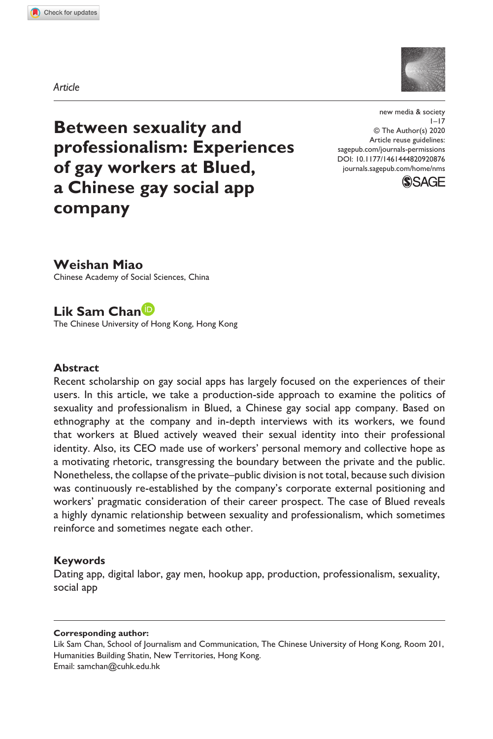**9208[76](http://crossmark.crossref.org/dialog/?doi=10.1177%2F1461444820920876&domain=pdf&date_stamp=2020-05-11)** NMS0010.1177/1461444820920876new media & society**Miao and Chan**



*Article*

**Between sexuality and professionalism: Experiences of gay workers at Blued, a Chinese gay social app company**

DOI: 10.1177/1461444820920876 new media & society  $1 - 17$ © The Author(s) 2020 Article reuse guidelines: [sagepub.com/journals-permissions](https://uk.sagepub.com/en-gb/journals-permissions) [journals.sagepub.com/home/nms](https://journals.sagepub.com/home/nms)



# **Weishan Miao**

Chinese Academy of Social Sciences, China



The Chinese University of Hong Kong, Hong Kong

### **Abstract**

Recent scholarship on gay social apps has largely focused on the experiences of their users. In this article, we take a production-side approach to examine the politics of sexuality and professionalism in Blued, a Chinese gay social app company. Based on ethnography at the company and in-depth interviews with its workers, we found that workers at Blued actively weaved their sexual identity into their professional identity. Also, its CEO made use of workers' personal memory and collective hope as a motivating rhetoric, transgressing the boundary between the private and the public. Nonetheless, the collapse of the private–public division is not total, because such division was continuously re-established by the company's corporate external positioning and workers' pragmatic consideration of their career prospect. The case of Blued reveals a highly dynamic relationship between sexuality and professionalism, which sometimes reinforce and sometimes negate each other.

#### **Keywords**

Dating app, digital labor, gay men, hookup app, production, professionalism, sexuality, social app

#### **Corresponding author:**

Lik Sam Chan, School of Journalism and Communication, The Chinese University of Hong Kong, Room 201, Humanities Building Shatin, New Territories, Hong Kong. Email: [samchan@cuhk.edu.hk](mailto:samchan@cuhk.edu.hk)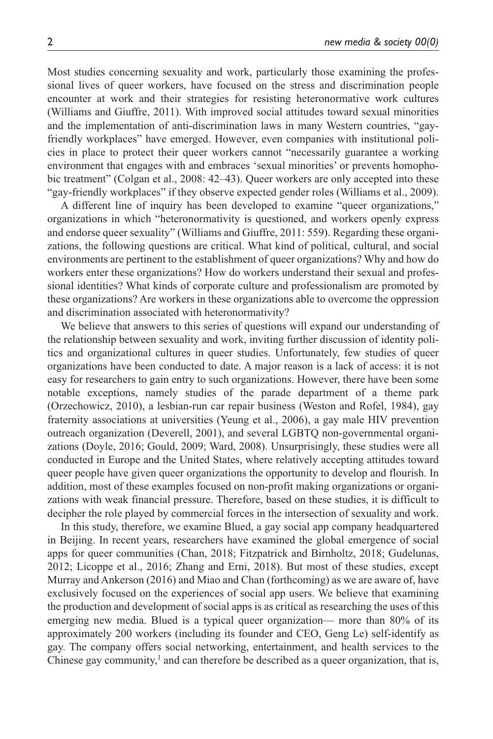Most studies concerning sexuality and work, particularly those examining the professional lives of queer workers, have focused on the stress and discrimination people encounter at work and their strategies for resisting heteronormative work cultures (Williams and Giuffre, 2011). With improved social attitudes toward sexual minorities and the implementation of anti-discrimination laws in many Western countries, "gayfriendly workplaces" have emerged. However, even companies with institutional policies in place to protect their queer workers cannot "necessarily guarantee a working environment that engages with and embraces 'sexual minorities' or prevents homophobic treatment" (Colgan et al., 2008: 42–43). Queer workers are only accepted into these "gay-friendly workplaces" if they observe expected gender roles (Williams et al., 2009).

A different line of inquiry has been developed to examine "queer organizations," organizations in which "heteronormativity is questioned, and workers openly express and endorse queer sexuality" (Williams and Giuffre, 2011: 559). Regarding these organizations, the following questions are critical. What kind of political, cultural, and social environments are pertinent to the establishment of queer organizations? Why and how do workers enter these organizations? How do workers understand their sexual and professional identities? What kinds of corporate culture and professionalism are promoted by these organizations? Are workers in these organizations able to overcome the oppression and discrimination associated with heteronormativity?

We believe that answers to this series of questions will expand our understanding of the relationship between sexuality and work, inviting further discussion of identity politics and organizational cultures in queer studies. Unfortunately, few studies of queer organizations have been conducted to date. A major reason is a lack of access: it is not easy for researchers to gain entry to such organizations. However, there have been some notable exceptions, namely studies of the parade department of a theme park (Orzechowicz, 2010), a lesbian-run car repair business (Weston and Rofel, 1984), gay fraternity associations at universities (Yeung et al., 2006), a gay male HIV prevention outreach organization (Deverell, 2001), and several LGBTQ non-governmental organizations (Doyle, 2016; Gould, 2009; Ward, 2008). Unsurprisingly, these studies were all conducted in Europe and the United States, where relatively accepting attitudes toward queer people have given queer organizations the opportunity to develop and flourish. In addition, most of these examples focused on non-profit making organizations or organizations with weak financial pressure. Therefore, based on these studies, it is difficult to decipher the role played by commercial forces in the intersection of sexuality and work.

In this study, therefore, we examine Blued, a gay social app company headquartered in Beijing. In recent years, researchers have examined the global emergence of social apps for queer communities (Chan, 2018; Fitzpatrick and Birnholtz, 2018; Gudelunas, 2012; Licoppe et al., 2016; Zhang and Erni, 2018). But most of these studies, except Murray and Ankerson (2016) and Miao and Chan (forthcoming) as we are aware of, have exclusively focused on the experiences of social app users. We believe that examining the production and development of social apps is as critical as researching the uses of this emerging new media. Blued is a typical queer organization— more than 80% of its approximately 200 workers (including its founder and CEO, Geng Le) self-identify as gay. The company offers social networking, entertainment, and health services to the Chinese gay community, $<sup>1</sup>$  and can therefore be described as a queer organization, that is,</sup>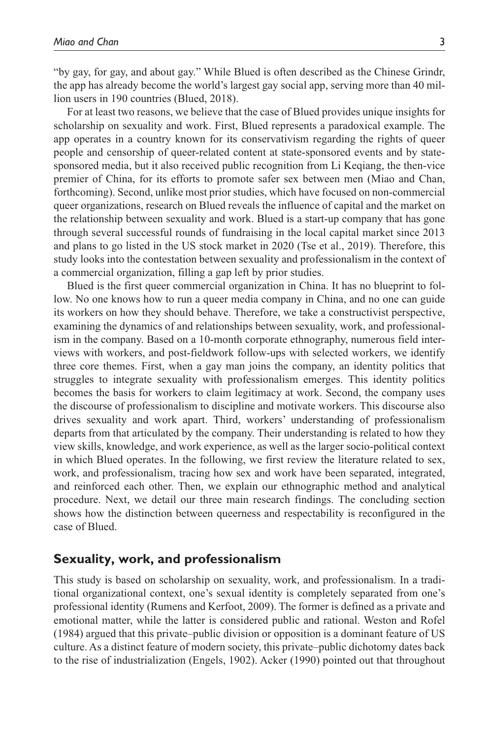"by gay, for gay, and about gay." While Blued is often described as the Chinese Grindr, the app has already become the world's largest gay social app, serving more than 40 million users in 190 countries (Blued, 2018).

For at least two reasons, we believe that the case of Blued provides unique insights for scholarship on sexuality and work. First, Blued represents a paradoxical example. The app operates in a country known for its conservativism regarding the rights of queer people and censorship of queer-related content at state-sponsored events and by statesponsored media, but it also received public recognition from Li Keqiang, the then-vice premier of China, for its efforts to promote safer sex between men (Miao and Chan, forthcoming). Second, unlike most prior studies, which have focused on non-commercial queer organizations, research on Blued reveals the influence of capital and the market on the relationship between sexuality and work. Blued is a start-up company that has gone through several successful rounds of fundraising in the local capital market since 2013 and plans to go listed in the US stock market in 2020 (Tse et al., 2019). Therefore, this study looks into the contestation between sexuality and professionalism in the context of a commercial organization, filling a gap left by prior studies.

Blued is the first queer commercial organization in China. It has no blueprint to follow. No one knows how to run a queer media company in China, and no one can guide its workers on how they should behave. Therefore, we take a constructivist perspective, examining the dynamics of and relationships between sexuality, work, and professionalism in the company. Based on a 10-month corporate ethnography, numerous field interviews with workers, and post-fieldwork follow-ups with selected workers, we identify three core themes. First, when a gay man joins the company, an identity politics that struggles to integrate sexuality with professionalism emerges. This identity politics becomes the basis for workers to claim legitimacy at work. Second, the company uses the discourse of professionalism to discipline and motivate workers. This discourse also drives sexuality and work apart. Third, workers' understanding of professionalism departs from that articulated by the company. Their understanding is related to how they view skills, knowledge, and work experience, as well as the larger socio-political context in which Blued operates. In the following, we first review the literature related to sex, work, and professionalism, tracing how sex and work have been separated, integrated, and reinforced each other. Then, we explain our ethnographic method and analytical procedure. Next, we detail our three main research findings. The concluding section shows how the distinction between queerness and respectability is reconfigured in the case of Blued.

### **Sexuality, work, and professionalism**

This study is based on scholarship on sexuality, work, and professionalism. In a traditional organizational context, one's sexual identity is completely separated from one's professional identity (Rumens and Kerfoot, 2009). The former is defined as a private and emotional matter, while the latter is considered public and rational. Weston and Rofel (1984) argued that this private–public division or opposition is a dominant feature of US culture. As a distinct feature of modern society, this private–public dichotomy dates back to the rise of industrialization (Engels, 1902). Acker (1990) pointed out that throughout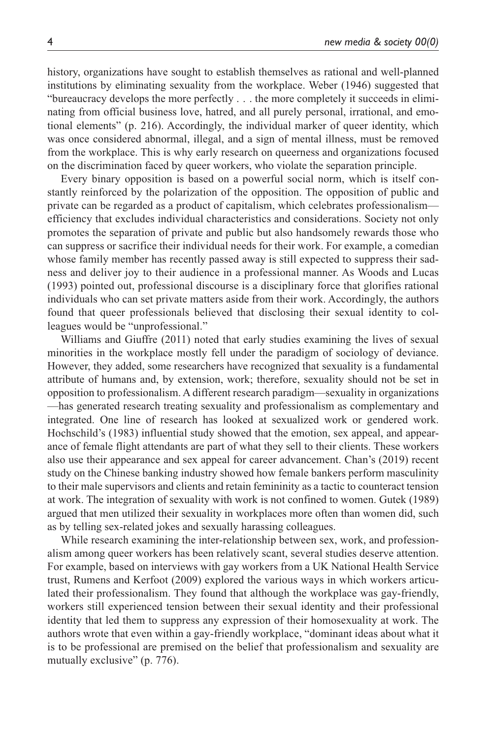history, organizations have sought to establish themselves as rational and well-planned institutions by eliminating sexuality from the workplace. Weber (1946) suggested that "bureaucracy develops the more perfectly . . . the more completely it succeeds in eliminating from official business love, hatred, and all purely personal, irrational, and emotional elements" (p. 216). Accordingly, the individual marker of queer identity, which was once considered abnormal, illegal, and a sign of mental illness, must be removed from the workplace. This is why early research on queerness and organizations focused on the discrimination faced by queer workers, who violate the separation principle.

Every binary opposition is based on a powerful social norm, which is itself constantly reinforced by the polarization of the opposition. The opposition of public and private can be regarded as a product of capitalism, which celebrates professionalism efficiency that excludes individual characteristics and considerations. Society not only promotes the separation of private and public but also handsomely rewards those who can suppress or sacrifice their individual needs for their work. For example, a comedian whose family member has recently passed away is still expected to suppress their sadness and deliver joy to their audience in a professional manner. As Woods and Lucas (1993) pointed out, professional discourse is a disciplinary force that glorifies rational individuals who can set private matters aside from their work. Accordingly, the authors found that queer professionals believed that disclosing their sexual identity to colleagues would be "unprofessional."

Williams and Giuffre (2011) noted that early studies examining the lives of sexual minorities in the workplace mostly fell under the paradigm of sociology of deviance. However, they added, some researchers have recognized that sexuality is a fundamental attribute of humans and, by extension, work; therefore, sexuality should not be set in opposition to professionalism. A different research paradigm—sexuality in organizations —has generated research treating sexuality and professionalism as complementary and integrated. One line of research has looked at sexualized work or gendered work. Hochschild's (1983) influential study showed that the emotion, sex appeal, and appearance of female flight attendants are part of what they sell to their clients. These workers also use their appearance and sex appeal for career advancement. Chan's (2019) recent study on the Chinese banking industry showed how female bankers perform masculinity to their male supervisors and clients and retain femininity as a tactic to counteract tension at work. The integration of sexuality with work is not confined to women. Gutek (1989) argued that men utilized their sexuality in workplaces more often than women did, such as by telling sex-related jokes and sexually harassing colleagues.

While research examining the inter-relationship between sex, work, and professionalism among queer workers has been relatively scant, several studies deserve attention. For example, based on interviews with gay workers from a UK National Health Service trust, Rumens and Kerfoot (2009) explored the various ways in which workers articulated their professionalism. They found that although the workplace was gay-friendly, workers still experienced tension between their sexual identity and their professional identity that led them to suppress any expression of their homosexuality at work. The authors wrote that even within a gay-friendly workplace, "dominant ideas about what it is to be professional are premised on the belief that professionalism and sexuality are mutually exclusive" (p. 776).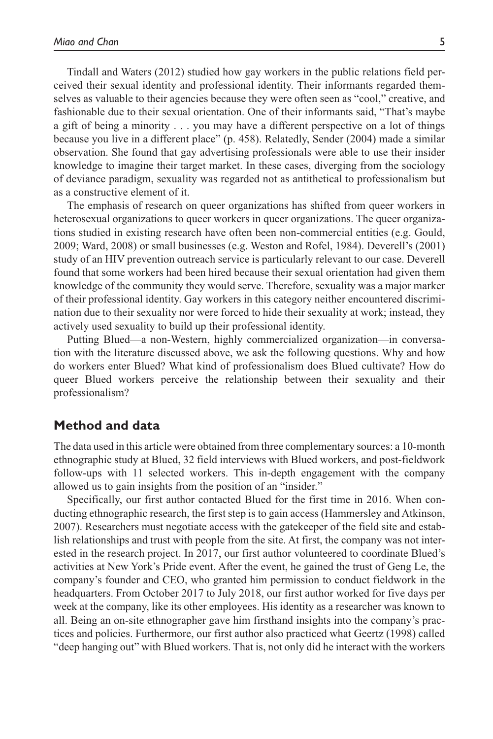Tindall and Waters (2012) studied how gay workers in the public relations field perceived their sexual identity and professional identity. Their informants regarded themselves as valuable to their agencies because they were often seen as "cool," creative, and fashionable due to their sexual orientation. One of their informants said, "That's maybe a gift of being a minority . . . you may have a different perspective on a lot of things because you live in a different place" (p. 458). Relatedly, Sender (2004) made a similar observation. She found that gay advertising professionals were able to use their insider knowledge to imagine their target market. In these cases, diverging from the sociology of deviance paradigm, sexuality was regarded not as antithetical to professionalism but as a constructive element of it.

The emphasis of research on queer organizations has shifted from queer workers in heterosexual organizations to queer workers in queer organizations. The queer organizations studied in existing research have often been non-commercial entities (e.g. Gould, 2009; Ward, 2008) or small businesses (e.g. Weston and Rofel, 1984). Deverell's (2001) study of an HIV prevention outreach service is particularly relevant to our case. Deverell found that some workers had been hired because their sexual orientation had given them knowledge of the community they would serve. Therefore, sexuality was a major marker of their professional identity. Gay workers in this category neither encountered discrimination due to their sexuality nor were forced to hide their sexuality at work; instead, they actively used sexuality to build up their professional identity.

Putting Blued—a non-Western, highly commercialized organization—in conversation with the literature discussed above, we ask the following questions. Why and how do workers enter Blued? What kind of professionalism does Blued cultivate? How do queer Blued workers perceive the relationship between their sexuality and their professionalism?

### **Method and data**

The data used in this article were obtained from three complementary sources: a 10-month ethnographic study at Blued, 32 field interviews with Blued workers, and post-fieldwork follow-ups with 11 selected workers. This in-depth engagement with the company allowed us to gain insights from the position of an "insider."

Specifically, our first author contacted Blued for the first time in 2016. When conducting ethnographic research, the first step is to gain access (Hammersley and Atkinson, 2007). Researchers must negotiate access with the gatekeeper of the field site and establish relationships and trust with people from the site. At first, the company was not interested in the research project. In 2017, our first author volunteered to coordinate Blued's activities at New York's Pride event. After the event, he gained the trust of Geng Le, the company's founder and CEO, who granted him permission to conduct fieldwork in the headquarters. From October 2017 to July 2018, our first author worked for five days per week at the company, like its other employees. His identity as a researcher was known to all. Being an on-site ethnographer gave him firsthand insights into the company's practices and policies. Furthermore, our first author also practiced what Geertz (1998) called "deep hanging out" with Blued workers. That is, not only did he interact with the workers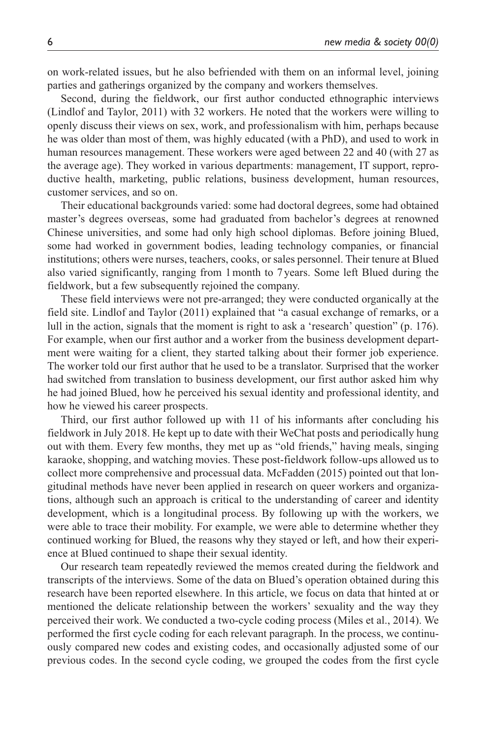on work-related issues, but he also befriended with them on an informal level, joining parties and gatherings organized by the company and workers themselves.

Second, during the fieldwork, our first author conducted ethnographic interviews (Lindlof and Taylor, 2011) with 32 workers. He noted that the workers were willing to openly discuss their views on sex, work, and professionalism with him, perhaps because he was older than most of them, was highly educated (with a PhD), and used to work in human resources management. These workers were aged between 22 and 40 (with 27 as the average age). They worked in various departments: management, IT support, reproductive health, marketing, public relations, business development, human resources, customer services, and so on.

Their educational backgrounds varied: some had doctoral degrees, some had obtained master's degrees overseas, some had graduated from bachelor's degrees at renowned Chinese universities, and some had only high school diplomas. Before joining Blued, some had worked in government bodies, leading technology companies, or financial institutions; others were nurses, teachers, cooks, or sales personnel. Their tenure at Blued also varied significantly, ranging from 1month to 7 years. Some left Blued during the fieldwork, but a few subsequently rejoined the company.

These field interviews were not pre-arranged; they were conducted organically at the field site. Lindlof and Taylor (2011) explained that "a casual exchange of remarks, or a lull in the action, signals that the moment is right to ask a 'research' question" (p. 176). For example, when our first author and a worker from the business development department were waiting for a client, they started talking about their former job experience. The worker told our first author that he used to be a translator. Surprised that the worker had switched from translation to business development, our first author asked him why he had joined Blued, how he perceived his sexual identity and professional identity, and how he viewed his career prospects.

Third, our first author followed up with 11 of his informants after concluding his fieldwork in July 2018. He kept up to date with their WeChat posts and periodically hung out with them. Every few months, they met up as "old friends," having meals, singing karaoke, shopping, and watching movies. These post-fieldwork follow-ups allowed us to collect more comprehensive and processual data. McFadden (2015) pointed out that longitudinal methods have never been applied in research on queer workers and organizations, although such an approach is critical to the understanding of career and identity development, which is a longitudinal process. By following up with the workers, we were able to trace their mobility. For example, we were able to determine whether they continued working for Blued, the reasons why they stayed or left, and how their experience at Blued continued to shape their sexual identity.

Our research team repeatedly reviewed the memos created during the fieldwork and transcripts of the interviews. Some of the data on Blued's operation obtained during this research have been reported elsewhere. In this article, we focus on data that hinted at or mentioned the delicate relationship between the workers' sexuality and the way they perceived their work. We conducted a two-cycle coding process (Miles et al., 2014). We performed the first cycle coding for each relevant paragraph. In the process, we continuously compared new codes and existing codes, and occasionally adjusted some of our previous codes. In the second cycle coding, we grouped the codes from the first cycle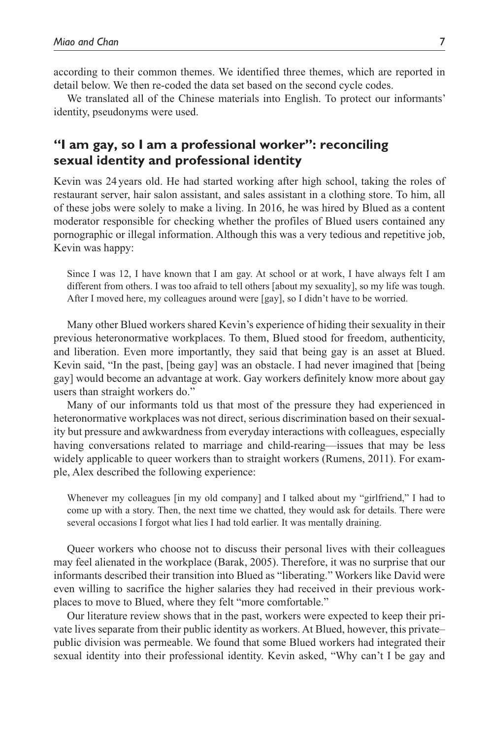according to their common themes. We identified three themes, which are reported in detail below. We then re-coded the data set based on the second cycle codes.

We translated all of the Chinese materials into English. To protect our informants' identity, pseudonyms were used.

# **"I am gay, so I am a professional worker": reconciling sexual identity and professional identity**

Kevin was 24 years old. He had started working after high school, taking the roles of restaurant server, hair salon assistant, and sales assistant in a clothing store. To him, all of these jobs were solely to make a living. In 2016, he was hired by Blued as a content moderator responsible for checking whether the profiles of Blued users contained any pornographic or illegal information. Although this was a very tedious and repetitive job, Kevin was happy:

Since I was 12, I have known that I am gay. At school or at work, I have always felt I am different from others. I was too afraid to tell others [about my sexuality], so my life was tough. After I moved here, my colleagues around were [gay], so I didn't have to be worried.

Many other Blued workers shared Kevin's experience of hiding their sexuality in their previous heteronormative workplaces. To them, Blued stood for freedom, authenticity, and liberation. Even more importantly, they said that being gay is an asset at Blued. Kevin said, "In the past, [being gay] was an obstacle. I had never imagined that [being gay] would become an advantage at work. Gay workers definitely know more about gay users than straight workers do."

Many of our informants told us that most of the pressure they had experienced in heteronormative workplaces was not direct, serious discrimination based on their sexuality but pressure and awkwardness from everyday interactions with colleagues, especially having conversations related to marriage and child-rearing—issues that may be less widely applicable to queer workers than to straight workers (Rumens, 2011). For example, Alex described the following experience:

Whenever my colleagues [in my old company] and I talked about my "girlfriend," I had to come up with a story. Then, the next time we chatted, they would ask for details. There were several occasions I forgot what lies I had told earlier. It was mentally draining.

Queer workers who choose not to discuss their personal lives with their colleagues may feel alienated in the workplace (Barak, 2005). Therefore, it was no surprise that our informants described their transition into Blued as "liberating." Workers like David were even willing to sacrifice the higher salaries they had received in their previous workplaces to move to Blued, where they felt "more comfortable."

Our literature review shows that in the past, workers were expected to keep their private lives separate from their public identity as workers. At Blued, however, this private– public division was permeable. We found that some Blued workers had integrated their sexual identity into their professional identity. Kevin asked, "Why can't I be gay and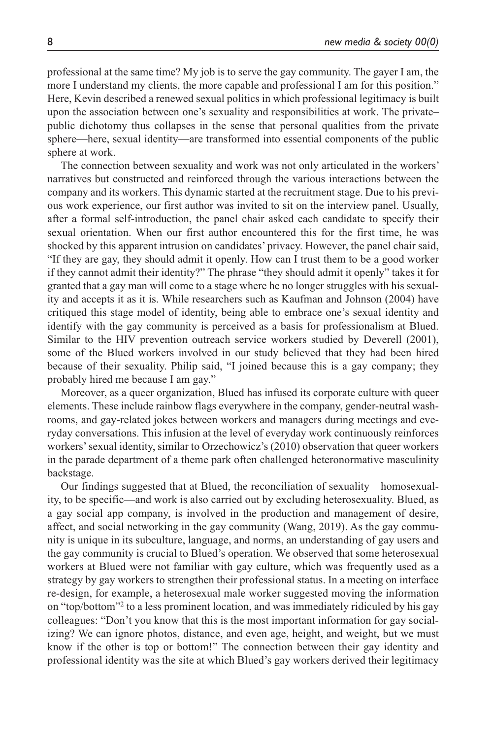professional at the same time? My job is to serve the gay community. The gayer I am, the more I understand my clients, the more capable and professional I am for this position." Here, Kevin described a renewed sexual politics in which professional legitimacy is built upon the association between one's sexuality and responsibilities at work. The private– public dichotomy thus collapses in the sense that personal qualities from the private sphere—here, sexual identity—are transformed into essential components of the public sphere at work.

The connection between sexuality and work was not only articulated in the workers' narratives but constructed and reinforced through the various interactions between the company and its workers. This dynamic started at the recruitment stage. Due to his previous work experience, our first author was invited to sit on the interview panel. Usually, after a formal self-introduction, the panel chair asked each candidate to specify their sexual orientation. When our first author encountered this for the first time, he was shocked by this apparent intrusion on candidates' privacy. However, the panel chair said, "If they are gay, they should admit it openly. How can I trust them to be a good worker if they cannot admit their identity?" The phrase "they should admit it openly" takes it for granted that a gay man will come to a stage where he no longer struggles with his sexuality and accepts it as it is. While researchers such as Kaufman and Johnson (2004) have critiqued this stage model of identity, being able to embrace one's sexual identity and identify with the gay community is perceived as a basis for professionalism at Blued. Similar to the HIV prevention outreach service workers studied by Deverell (2001), some of the Blued workers involved in our study believed that they had been hired because of their sexuality. Philip said, "I joined because this is a gay company; they probably hired me because I am gay."

Moreover, as a queer organization, Blued has infused its corporate culture with queer elements. These include rainbow flags everywhere in the company, gender-neutral washrooms, and gay-related jokes between workers and managers during meetings and everyday conversations. This infusion at the level of everyday work continuously reinforces workers' sexual identity, similar to Orzechowicz's (2010) observation that queer workers in the parade department of a theme park often challenged heteronormative masculinity backstage.

Our findings suggested that at Blued, the reconciliation of sexuality—homosexuality, to be specific—and work is also carried out by excluding heterosexuality. Blued, as a gay social app company, is involved in the production and management of desire, affect, and social networking in the gay community (Wang, 2019). As the gay community is unique in its subculture, language, and norms, an understanding of gay users and the gay community is crucial to Blued's operation. We observed that some heterosexual workers at Blued were not familiar with gay culture, which was frequently used as a strategy by gay workers to strengthen their professional status. In a meeting on interface re-design, for example, a heterosexual male worker suggested moving the information on "top/bottom"2 to a less prominent location, and was immediately ridiculed by his gay colleagues: "Don't you know that this is the most important information for gay socializing? We can ignore photos, distance, and even age, height, and weight, but we must know if the other is top or bottom!" The connection between their gay identity and professional identity was the site at which Blued's gay workers derived their legitimacy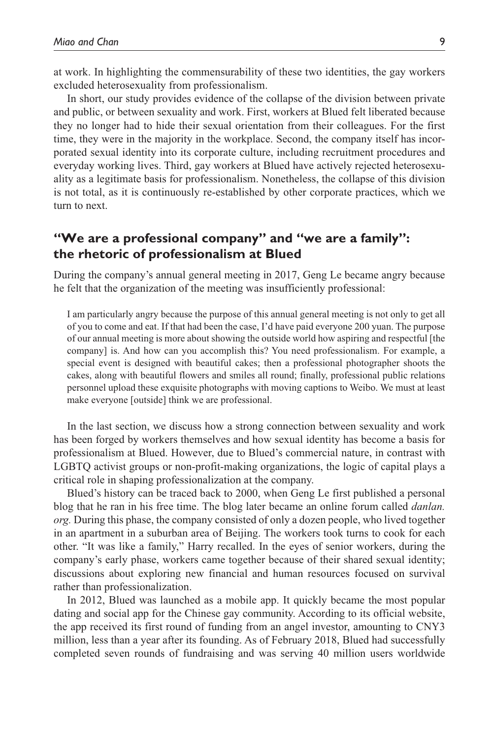at work. In highlighting the commensurability of these two identities, the gay workers excluded heterosexuality from professionalism.

In short, our study provides evidence of the collapse of the division between private and public, or between sexuality and work. First, workers at Blued felt liberated because they no longer had to hide their sexual orientation from their colleagues. For the first time, they were in the majority in the workplace. Second, the company itself has incorporated sexual identity into its corporate culture, including recruitment procedures and everyday working lives. Third, gay workers at Blued have actively rejected heterosexuality as a legitimate basis for professionalism. Nonetheless, the collapse of this division is not total, as it is continuously re-established by other corporate practices, which we turn to next.

# **"We are a professional company" and "we are a family": the rhetoric of professionalism at Blued**

During the company's annual general meeting in 2017, Geng Le became angry because he felt that the organization of the meeting was insufficiently professional:

I am particularly angry because the purpose of this annual general meeting is not only to get all of you to come and eat. If that had been the case, I'd have paid everyone 200 yuan. The purpose of our annual meeting is more about showing the outside world how aspiring and respectful [the company] is. And how can you accomplish this? You need professionalism. For example, a special event is designed with beautiful cakes; then a professional photographer shoots the cakes, along with beautiful flowers and smiles all round; finally, professional public relations personnel upload these exquisite photographs with moving captions to Weibo. We must at least make everyone [outside] think we are professional.

In the last section, we discuss how a strong connection between sexuality and work has been forged by workers themselves and how sexual identity has become a basis for professionalism at Blued. However, due to Blued's commercial nature, in contrast with LGBTQ activist groups or non-profit-making organizations, the logic of capital plays a critical role in shaping professionalization at the company.

Blued's history can be traced back to 2000, when Geng Le first published a personal blog that he ran in his free time. The blog later became an online forum called *danlan. org.* During this phase, the company consisted of only a dozen people, who lived together in an apartment in a suburban area of Beijing. The workers took turns to cook for each other. "It was like a family," Harry recalled. In the eyes of senior workers, during the company's early phase, workers came together because of their shared sexual identity; discussions about exploring new financial and human resources focused on survival rather than professionalization.

In 2012, Blued was launched as a mobile app. It quickly became the most popular dating and social app for the Chinese gay community. According to its official website, the app received its first round of funding from an angel investor, amounting to CNY3 million, less than a year after its founding. As of February 2018, Blued had successfully completed seven rounds of fundraising and was serving 40 million users worldwide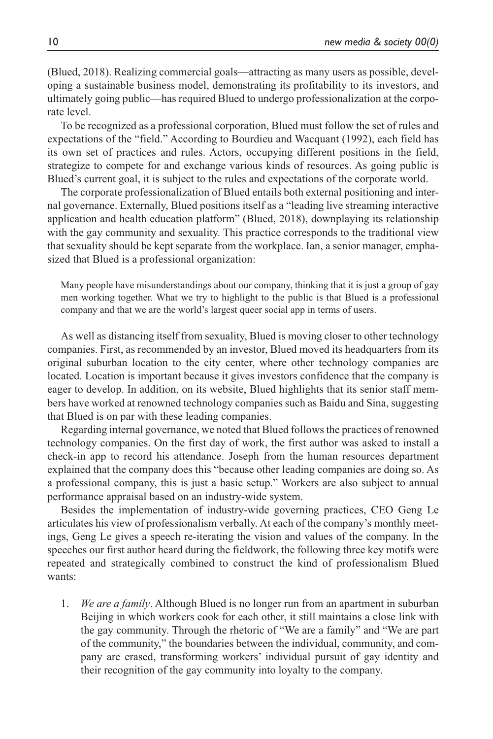(Blued, 2018). Realizing commercial goals—attracting as many users as possible, developing a sustainable business model, demonstrating its profitability to its investors, and ultimately going public—has required Blued to undergo professionalization at the corporate level.

To be recognized as a professional corporation, Blued must follow the set of rules and expectations of the "field." According to Bourdieu and Wacquant (1992), each field has its own set of practices and rules. Actors, occupying different positions in the field, strategize to compete for and exchange various kinds of resources. As going public is Blued's current goal, it is subject to the rules and expectations of the corporate world.

The corporate professionalization of Blued entails both external positioning and internal governance. Externally, Blued positions itself as a "leading live streaming interactive application and health education platform" (Blued, 2018), downplaying its relationship with the gay community and sexuality. This practice corresponds to the traditional view that sexuality should be kept separate from the workplace. Ian, a senior manager, emphasized that Blued is a professional organization:

Many people have misunderstandings about our company, thinking that it is just a group of gay men working together. What we try to highlight to the public is that Blued is a professional company and that we are the world's largest queer social app in terms of users.

As well as distancing itself from sexuality, Blued is moving closer to other technology companies. First, as recommended by an investor, Blued moved its headquarters from its original suburban location to the city center, where other technology companies are located. Location is important because it gives investors confidence that the company is eager to develop. In addition, on its website, Blued highlights that its senior staff members have worked at renowned technology companies such as Baidu and Sina, suggesting that Blued is on par with these leading companies.

Regarding internal governance, we noted that Blued follows the practices of renowned technology companies. On the first day of work, the first author was asked to install a check-in app to record his attendance. Joseph from the human resources department explained that the company does this "because other leading companies are doing so. As a professional company, this is just a basic setup." Workers are also subject to annual performance appraisal based on an industry-wide system.

Besides the implementation of industry-wide governing practices, CEO Geng Le articulates his view of professionalism verbally. At each of the company's monthly meetings, Geng Le gives a speech re-iterating the vision and values of the company. In the speeches our first author heard during the fieldwork, the following three key motifs were repeated and strategically combined to construct the kind of professionalism Blued wants:

1. *We are a family*. Although Blued is no longer run from an apartment in suburban Beijing in which workers cook for each other, it still maintains a close link with the gay community. Through the rhetoric of "We are a family" and "We are part of the community," the boundaries between the individual, community, and company are erased, transforming workers' individual pursuit of gay identity and their recognition of the gay community into loyalty to the company.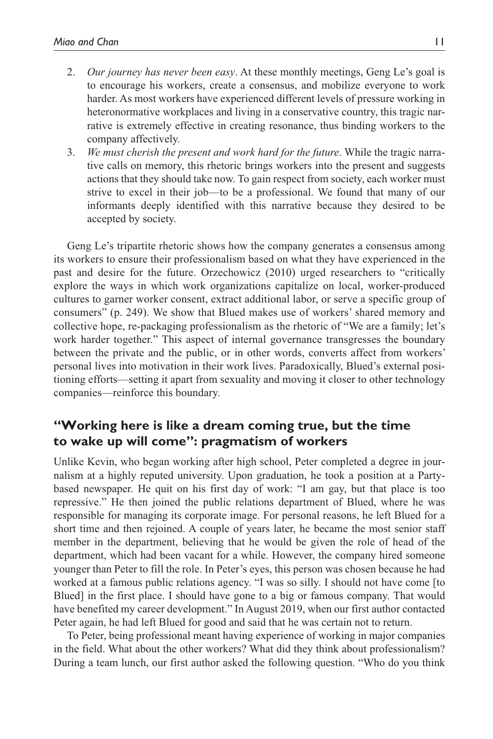- 2. *Our journey has never been easy*. At these monthly meetings, Geng Le's goal is to encourage his workers, create a consensus, and mobilize everyone to work harder. As most workers have experienced different levels of pressure working in heteronormative workplaces and living in a conservative country, this tragic narrative is extremely effective in creating resonance, thus binding workers to the company affectively.
- 3. *We must cherish the present and work hard for the future*. While the tragic narrative calls on memory, this rhetoric brings workers into the present and suggests actions that they should take now. To gain respect from society, each worker must strive to excel in their job—to be a professional. We found that many of our informants deeply identified with this narrative because they desired to be accepted by society.

Geng Le's tripartite rhetoric shows how the company generates a consensus among its workers to ensure their professionalism based on what they have experienced in the past and desire for the future. Orzechowicz (2010) urged researchers to "critically explore the ways in which work organizations capitalize on local, worker-produced cultures to garner worker consent, extract additional labor, or serve a specific group of consumers" (p. 249). We show that Blued makes use of workers' shared memory and collective hope, re-packaging professionalism as the rhetoric of "We are a family; let's work harder together." This aspect of internal governance transgresses the boundary between the private and the public, or in other words, converts affect from workers' personal lives into motivation in their work lives. Paradoxically, Blued's external positioning efforts—setting it apart from sexuality and moving it closer to other technology companies—reinforce this boundary.

# **"Working here is like a dream coming true, but the time to wake up will come": pragmatism of workers**

Unlike Kevin, who began working after high school, Peter completed a degree in journalism at a highly reputed university. Upon graduation, he took a position at a Partybased newspaper. He quit on his first day of work: "I am gay, but that place is too repressive." He then joined the public relations department of Blued, where he was responsible for managing its corporate image. For personal reasons, he left Blued for a short time and then rejoined. A couple of years later, he became the most senior staff member in the department, believing that he would be given the role of head of the department, which had been vacant for a while. However, the company hired someone younger than Peter to fill the role. In Peter's eyes, this person was chosen because he had worked at a famous public relations agency. "I was so silly. I should not have come [to Blued] in the first place. I should have gone to a big or famous company. That would have benefited my career development." In August 2019, when our first author contacted Peter again, he had left Blued for good and said that he was certain not to return.

To Peter, being professional meant having experience of working in major companies in the field. What about the other workers? What did they think about professionalism? During a team lunch, our first author asked the following question. "Who do you think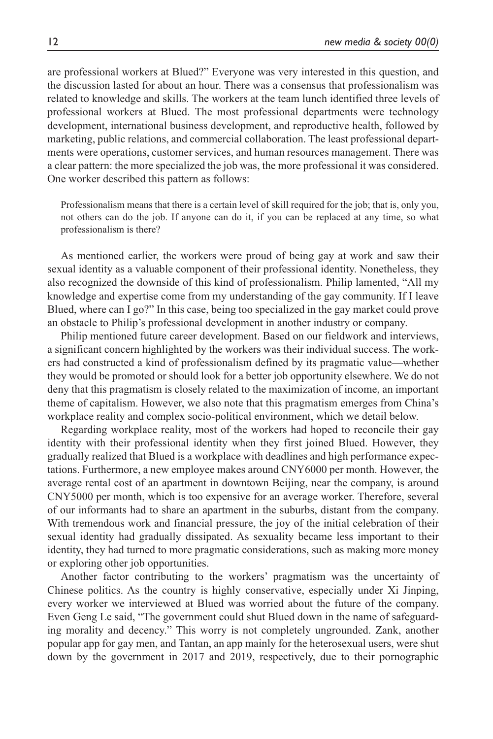are professional workers at Blued?" Everyone was very interested in this question, and the discussion lasted for about an hour. There was a consensus that professionalism was related to knowledge and skills. The workers at the team lunch identified three levels of professional workers at Blued. The most professional departments were technology development, international business development, and reproductive health, followed by marketing, public relations, and commercial collaboration. The least professional departments were operations, customer services, and human resources management. There was a clear pattern: the more specialized the job was, the more professional it was considered. One worker described this pattern as follows:

Professionalism means that there is a certain level of skill required for the job; that is, only you, not others can do the job. If anyone can do it, if you can be replaced at any time, so what professionalism is there?

As mentioned earlier, the workers were proud of being gay at work and saw their sexual identity as a valuable component of their professional identity. Nonetheless, they also recognized the downside of this kind of professionalism. Philip lamented, "All my knowledge and expertise come from my understanding of the gay community. If I leave Blued, where can I go?" In this case, being too specialized in the gay market could prove an obstacle to Philip's professional development in another industry or company.

Philip mentioned future career development. Based on our fieldwork and interviews, a significant concern highlighted by the workers was their individual success. The workers had constructed a kind of professionalism defined by its pragmatic value—whether they would be promoted or should look for a better job opportunity elsewhere. We do not deny that this pragmatism is closely related to the maximization of income, an important theme of capitalism. However, we also note that this pragmatism emerges from China's workplace reality and complex socio-political environment, which we detail below.

Regarding workplace reality, most of the workers had hoped to reconcile their gay identity with their professional identity when they first joined Blued. However, they gradually realized that Blued is a workplace with deadlines and high performance expectations. Furthermore, a new employee makes around CNY6000 per month. However, the average rental cost of an apartment in downtown Beijing, near the company, is around CNY5000 per month, which is too expensive for an average worker. Therefore, several of our informants had to share an apartment in the suburbs, distant from the company. With tremendous work and financial pressure, the joy of the initial celebration of their sexual identity had gradually dissipated. As sexuality became less important to their identity, they had turned to more pragmatic considerations, such as making more money or exploring other job opportunities.

Another factor contributing to the workers' pragmatism was the uncertainty of Chinese politics. As the country is highly conservative, especially under Xi Jinping, every worker we interviewed at Blued was worried about the future of the company. Even Geng Le said, "The government could shut Blued down in the name of safeguarding morality and decency." This worry is not completely ungrounded. Zank, another popular app for gay men, and Tantan, an app mainly for the heterosexual users, were shut down by the government in 2017 and 2019, respectively, due to their pornographic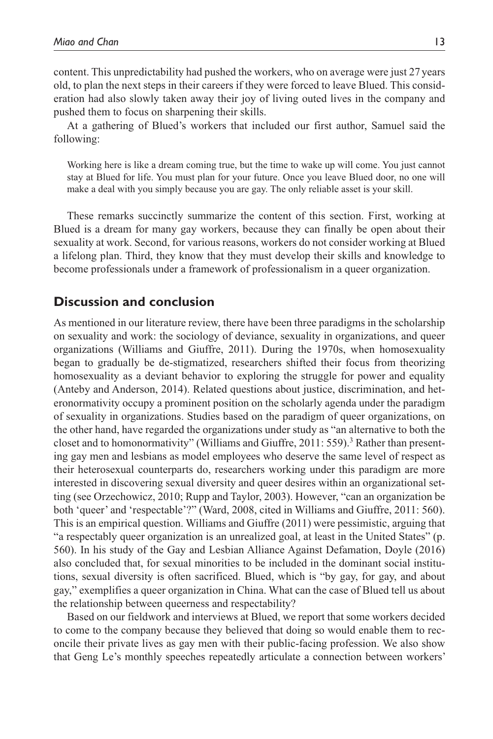content. This unpredictability had pushed the workers, who on average were just 27 years old, to plan the next steps in their careers if they were forced to leave Blued. This consideration had also slowly taken away their joy of living outed lives in the company and pushed them to focus on sharpening their skills.

At a gathering of Blued's workers that included our first author, Samuel said the following:

Working here is like a dream coming true, but the time to wake up will come. You just cannot stay at Blued for life. You must plan for your future. Once you leave Blued door, no one will make a deal with you simply because you are gay. The only reliable asset is your skill.

These remarks succinctly summarize the content of this section. First, working at Blued is a dream for many gay workers, because they can finally be open about their sexuality at work. Second, for various reasons, workers do not consider working at Blued a lifelong plan. Third, they know that they must develop their skills and knowledge to become professionals under a framework of professionalism in a queer organization.

### **Discussion and conclusion**

As mentioned in our literature review, there have been three paradigms in the scholarship on sexuality and work: the sociology of deviance, sexuality in organizations, and queer organizations (Williams and Giuffre, 2011). During the 1970s, when homosexuality began to gradually be de-stigmatized, researchers shifted their focus from theorizing homosexuality as a deviant behavior to exploring the struggle for power and equality (Anteby and Anderson, 2014). Related questions about justice, discrimination, and heteronormativity occupy a prominent position on the scholarly agenda under the paradigm of sexuality in organizations. Studies based on the paradigm of queer organizations, on the other hand, have regarded the organizations under study as "an alternative to both the closet and to homonormativity" (Williams and Giuffre, 2011: 559).<sup>3</sup> Rather than presenting gay men and lesbians as model employees who deserve the same level of respect as their heterosexual counterparts do, researchers working under this paradigm are more interested in discovering sexual diversity and queer desires within an organizational setting (see Orzechowicz, 2010; Rupp and Taylor, 2003). However, "can an organization be both 'queer' and 'respectable'?" (Ward, 2008, cited in Williams and Giuffre, 2011: 560). This is an empirical question. Williams and Giuffre (2011) were pessimistic, arguing that "a respectably queer organization is an unrealized goal, at least in the United States" (p. 560). In his study of the Gay and Lesbian Alliance Against Defamation, Doyle (2016) also concluded that, for sexual minorities to be included in the dominant social institutions, sexual diversity is often sacrificed. Blued, which is "by gay, for gay, and about gay," exemplifies a queer organization in China. What can the case of Blued tell us about the relationship between queerness and respectability?

Based on our fieldwork and interviews at Blued, we report that some workers decided to come to the company because they believed that doing so would enable them to reconcile their private lives as gay men with their public-facing profession. We also show that Geng Le's monthly speeches repeatedly articulate a connection between workers'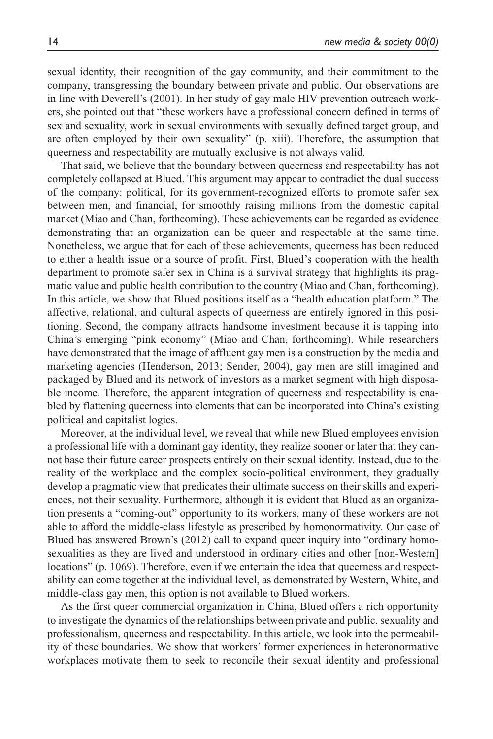sexual identity, their recognition of the gay community, and their commitment to the company, transgressing the boundary between private and public. Our observations are in line with Deverell's (2001). In her study of gay male HIV prevention outreach workers, she pointed out that "these workers have a professional concern defined in terms of sex and sexuality, work in sexual environments with sexually defined target group, and are often employed by their own sexuality" (p. xiii). Therefore, the assumption that queerness and respectability are mutually exclusive is not always valid.

That said, we believe that the boundary between queerness and respectability has not completely collapsed at Blued. This argument may appear to contradict the dual success of the company: political, for its government-recognized efforts to promote safer sex between men, and financial, for smoothly raising millions from the domestic capital market (Miao and Chan, forthcoming). These achievements can be regarded as evidence demonstrating that an organization can be queer and respectable at the same time. Nonetheless, we argue that for each of these achievements, queerness has been reduced to either a health issue or a source of profit. First, Blued's cooperation with the health department to promote safer sex in China is a survival strategy that highlights its pragmatic value and public health contribution to the country (Miao and Chan, forthcoming). In this article, we show that Blued positions itself as a "health education platform." The affective, relational, and cultural aspects of queerness are entirely ignored in this positioning. Second, the company attracts handsome investment because it is tapping into China's emerging "pink economy" (Miao and Chan, forthcoming). While researchers have demonstrated that the image of affluent gay men is a construction by the media and marketing agencies (Henderson, 2013; Sender, 2004), gay men are still imagined and packaged by Blued and its network of investors as a market segment with high disposable income. Therefore, the apparent integration of queerness and respectability is enabled by flattening queerness into elements that can be incorporated into China's existing political and capitalist logics.

Moreover, at the individual level, we reveal that while new Blued employees envision a professional life with a dominant gay identity, they realize sooner or later that they cannot base their future career prospects entirely on their sexual identity. Instead, due to the reality of the workplace and the complex socio-political environment, they gradually develop a pragmatic view that predicates their ultimate success on their skills and experiences, not their sexuality. Furthermore, although it is evident that Blued as an organization presents a "coming-out" opportunity to its workers, many of these workers are not able to afford the middle-class lifestyle as prescribed by homonormativity. Our case of Blued has answered Brown's (2012) call to expand queer inquiry into "ordinary homosexualities as they are lived and understood in ordinary cities and other [non-Western] locations" (p. 1069). Therefore, even if we entertain the idea that queerness and respectability can come together at the individual level, as demonstrated by Western, White, and middle-class gay men, this option is not available to Blued workers.

As the first queer commercial organization in China, Blued offers a rich opportunity to investigate the dynamics of the relationships between private and public, sexuality and professionalism, queerness and respectability. In this article, we look into the permeability of these boundaries. We show that workers' former experiences in heteronormative workplaces motivate them to seek to reconcile their sexual identity and professional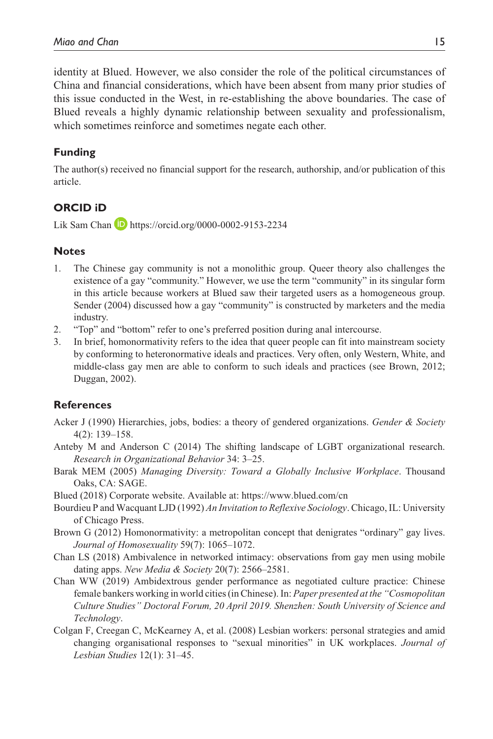identity at Blued. However, we also consider the role of the political circumstances of China and financial considerations, which have been absent from many prior studies of this issue conducted in the West, in re-establishing the above boundaries. The case of Blued reveals a highly dynamic relationship between sexuality and professionalism, which sometimes reinforce and sometimes negate each other.

## **Funding**

The author(s) received no financial support for the research, authorship, and/or publication of this article.

### **ORCID iD**

Lik Sam Chan **D** <https://orcid.org/0000-0002-9153-2234>

### **Notes**

- 1. The Chinese gay community is not a monolithic group. Queer theory also challenges the existence of a gay "community." However, we use the term "community" in its singular form in this article because workers at Blued saw their targeted users as a homogeneous group. Sender (2004) discussed how a gay "community" is constructed by marketers and the media industry.
- 2. "Top" and "bottom" refer to one's preferred position during anal intercourse.
- 3. In brief, homonormativity refers to the idea that queer people can fit into mainstream society by conforming to heteronormative ideals and practices. Very often, only Western, White, and middle-class gay men are able to conform to such ideals and practices (see Brown, 2012; Duggan, 2002).

### **References**

- Acker J (1990) Hierarchies, jobs, bodies: a theory of gendered organizations. *Gender & Society* 4(2): 139–158.
- Anteby M and Anderson C (2014) The shifting landscape of LGBT organizational research. *Research in Organizational Behavior* 34: 3–25.
- Barak MEM (2005) *Managing Diversity: Toward a Globally Inclusive Workplace*. Thousand Oaks, CA: SAGE.
- Blued (2018) Corporate website. Available at: <https://www.blued.com/cn>
- Bourdieu P and Wacquant LJD (1992) *An Invitation to Reflexive Sociology*. Chicago, IL: University of Chicago Press.
- Brown G (2012) Homonormativity: a metropolitan concept that denigrates "ordinary" gay lives. *Journal of Homosexuality* 59(7): 1065–1072.
- Chan LS (2018) Ambivalence in networked intimacy: observations from gay men using mobile dating apps. *New Media & Society* 20(7): 2566–2581.
- Chan WW (2019) Ambidextrous gender performance as negotiated culture practice: Chinese female bankers working in world cities (in Chinese). In: *Paper presented at the "Cosmopolitan Culture Studies" Doctoral Forum, 20 April 2019. Shenzhen: South University of Science and Technology*.
- Colgan F, Creegan C, McKearney A, et al. (2008) Lesbian workers: personal strategies and amid changing organisational responses to "sexual minorities" in UK workplaces. *Journal of Lesbian Studies* 12(1): 31–45.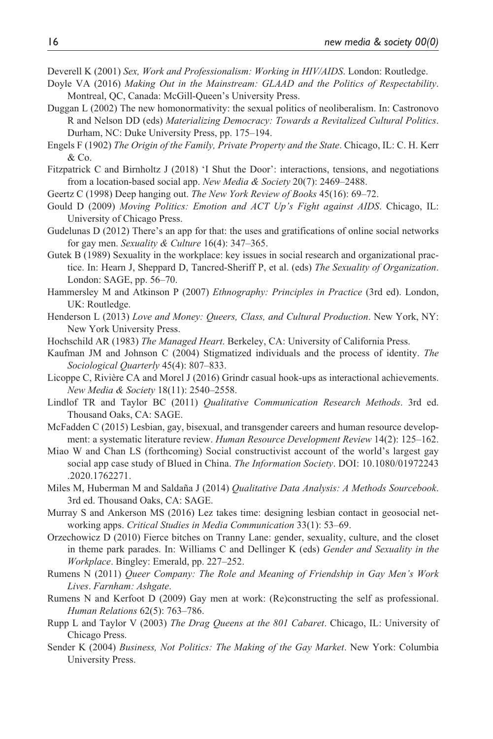Deverell K (2001) *Sex, Work and Professionalism: Working in HIV/AIDS*. London: Routledge.

- Doyle VA (2016) *Making Out in the Mainstream: GLAAD and the Politics of Respectability*. Montreal, QC, Canada: McGill-Queen's University Press.
- Duggan L (2002) The new homonormativity: the sexual politics of neoliberalism. In: Castronovo R and Nelson DD (eds) *Materializing Democracy: Towards a Revitalized Cultural Politics*. Durham, NC: Duke University Press, pp. 175–194.
- Engels F (1902) *The Origin of the Family, Private Property and the State*. Chicago, IL: C. H. Kerr & Co.
- Fitzpatrick C and Birnholtz J (2018) 'I Shut the Door': interactions, tensions, and negotiations from a location-based social app. *New Media & Society* 20(7): 2469–2488.
- Geertz C (1998) Deep hanging out. *The New York Review of Books* 45(16): 69–72.
- Gould D (2009) *Moving Politics: Emotion and ACT Up's Fight against AIDS*. Chicago, IL: University of Chicago Press.
- Gudelunas D (2012) There's an app for that: the uses and gratifications of online social networks for gay men. *Sexuality & Culture* 16(4): 347–365.
- Gutek B (1989) Sexuality in the workplace: key issues in social research and organizational practice. In: Hearn J, Sheppard D, Tancred-Sheriff P, et al. (eds) *The Sexuality of Organization*. London: SAGE, pp. 56–70.
- Hammersley M and Atkinson P (2007) *Ethnography: Principles in Practice* (3rd ed). London, UK: Routledge.
- Henderson L (2013) *Love and Money: Queers, Class, and Cultural Production*. New York, NY: New York University Press.
- Hochschild AR (1983) *The Managed Heart*. Berkeley, CA: University of California Press.
- Kaufman JM and Johnson C (2004) Stigmatized individuals and the process of identity. *The Sociological Quarterly* 45(4): 807–833.
- Licoppe C, Rivière CA and Morel J (2016) Grindr casual hook-ups as interactional achievements. *New Media & Society* 18(11): 2540–2558.
- Lindlof TR and Taylor BC (2011) *Qualitative Communication Research Methods*. 3rd ed. Thousand Oaks, CA: SAGE.
- McFadden C (2015) Lesbian, gay, bisexual, and transgender careers and human resource development: a systematic literature review. *Human Resource Development Review* 14(2): 125–162.
- Miao W and Chan LS (forthcoming) Social constructivist account of the world's largest gay social app case study of Blued in China. *The Information Society*. DOI: [10.1080/01972243](https://doi.org/10.1080/01972243.2020.1762271) [.2020.1762271.](https://doi.org/10.1080/01972243.2020.1762271)
- Miles M, Huberman M and Saldaña J (2014) *Qualitative Data Analysis: A Methods Sourcebook*. 3rd ed. Thousand Oaks, CA: SAGE.
- Murray S and Ankerson MS (2016) Lez takes time: designing lesbian contact in geosocial networking apps. *Critical Studies in Media Communication* 33(1): 53–69.
- Orzechowicz D (2010) Fierce bitches on Tranny Lane: gender, sexuality, culture, and the closet in theme park parades. In: Williams C and Dellinger K (eds) *Gender and Sexuality in the Workplace*. Bingley: Emerald, pp. 227–252.
- Rumens N (2011) *Queer Company: The Role and Meaning of Friendship in Gay Men's Work Lives*. *Farnham: Ashgate*.
- Rumens N and Kerfoot D (2009) Gay men at work: (Re)constructing the self as professional. *Human Relations* 62(5): 763–786.
- Rupp L and Taylor V (2003) *The Drag Queens at the 801 Cabaret*. Chicago, IL: University of Chicago Press.
- Sender K (2004) *Business, Not Politics: The Making of the Gay Market*. New York: Columbia University Press.